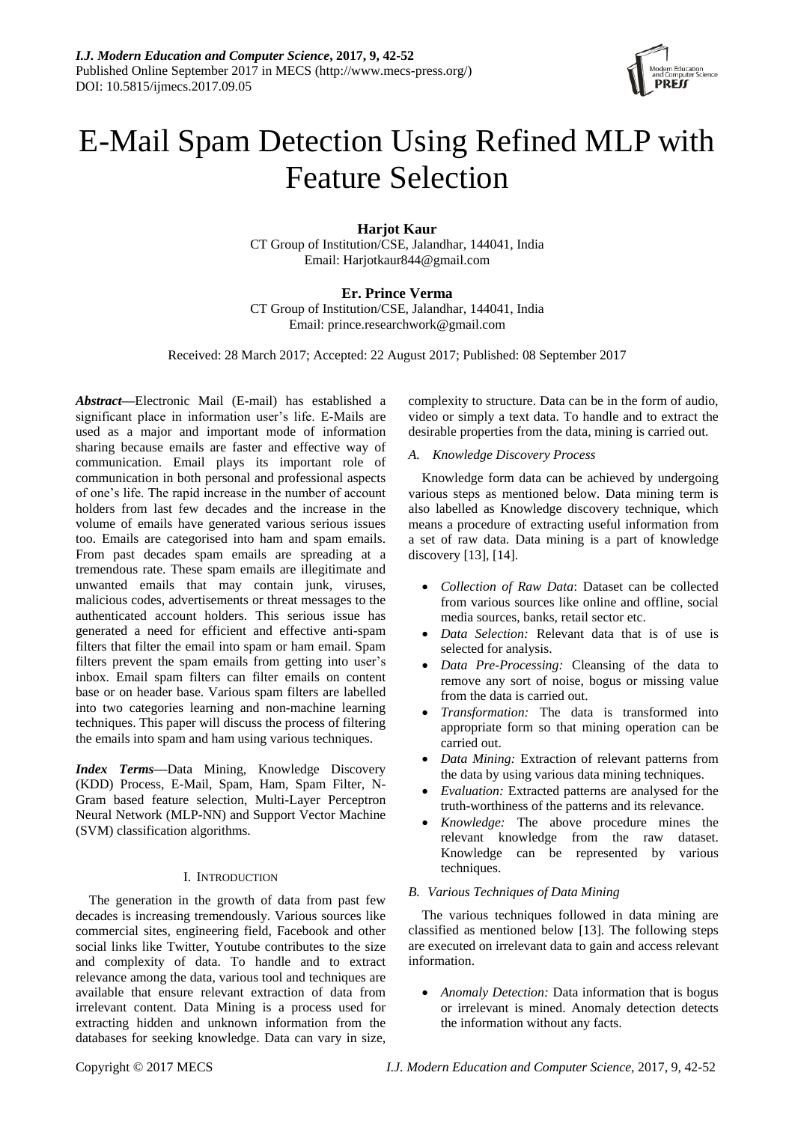

# E-Mail Spam Detection Using Refined MLP with Feature Selection

**Harjot Kaur** CT Group of Institution/CSE, Jalandhar, 144041, India Email: Harjotkaur844@gmail.com

# **Er. Prince Verma**

CT Group of Institution/CSE, Jalandhar, 144041, India Email: prince.researchwork@gmail.com

Received: 28 March 2017; Accepted: 22 August 2017; Published: 08 September 2017

*Abstract***—**Electronic Mail (E-mail) has established a significant place in information user's life. E-Mails are used as a major and important mode of information sharing because emails are faster and effective way of communication. Email plays its important role of communication in both personal and professional aspects of one's life. The rapid increase in the number of account holders from last few decades and the increase in the volume of emails have generated various serious issues too. Emails are categorised into ham and spam emails. From past decades spam emails are spreading at a tremendous rate. These spam emails are illegitimate and unwanted emails that may contain junk, viruses, malicious codes, advertisements or threat messages to the authenticated account holders. This serious issue has generated a need for efficient and effective anti-spam filters that filter the email into spam or ham email. Spam filters prevent the spam emails from getting into user's inbox. Email spam filters can filter emails on content base or on header base. Various spam filters are labelled into two categories learning and non-machine learning techniques. This paper will discuss the process of filtering the emails into spam and ham using various techniques.

*Index Terms***—**Data Mining, Knowledge Discovery (KDD) Process, E-Mail, Spam, Ham, Spam Filter, N-Gram based feature selection, Multi-Layer Perceptron Neural Network (MLP-NN) and Support Vector Machine (SVM) classification algorithms.

# I. INTRODUCTION

The generation in the growth of data from past few decades is increasing tremendously. Various sources like commercial sites, engineering field, Facebook and other social links like Twitter, Youtube contributes to the size and complexity of data. To handle and to extract relevance among the data, various tool and techniques are available that ensure relevant extraction of data from irrelevant content. Data Mining is a process used for extracting hidden and unknown information from the databases for seeking knowledge. Data can vary in size,

complexity to structure. Data can be in the form of audio, video or simply a text data. To handle and to extract the desirable properties from the data, mining is carried out.

## *A. Knowledge Discovery Process*

Knowledge form data can be achieved by undergoing various steps as mentioned below. Data mining term is also labelled as Knowledge discovery technique, which means a procedure of extracting useful information from a set of raw data. Data mining is a part of knowledge discovery [13], [14].

- *Collection of Raw Data*: Dataset can be collected from various sources like online and offline, social media sources, banks, retail sector etc.
- *Data Selection:* Relevant data that is of use is selected for analysis.
- *Data Pre-Processing:* Cleansing of the data to remove any sort of noise, bogus or missing value from the data is carried out.
- *Transformation:* The data is transformed into appropriate form so that mining operation can be carried out.
- *Data Mining:* Extraction of relevant patterns from the data by using various data mining techniques.
- *Evaluation:* Extracted patterns are analysed for the truth-worthiness of the patterns and its relevance.
- *Knowledge:* The above procedure mines the relevant knowledge from the raw dataset. Knowledge can be represented by various techniques.

# *B. Various Techniques of Data Mining*

The various techniques followed in data mining are classified as mentioned below [13]. The following steps are executed on irrelevant data to gain and access relevant information.

 *Anomaly Detection:* Data information that is bogus or irrelevant is mined. Anomaly detection detects the information without any facts.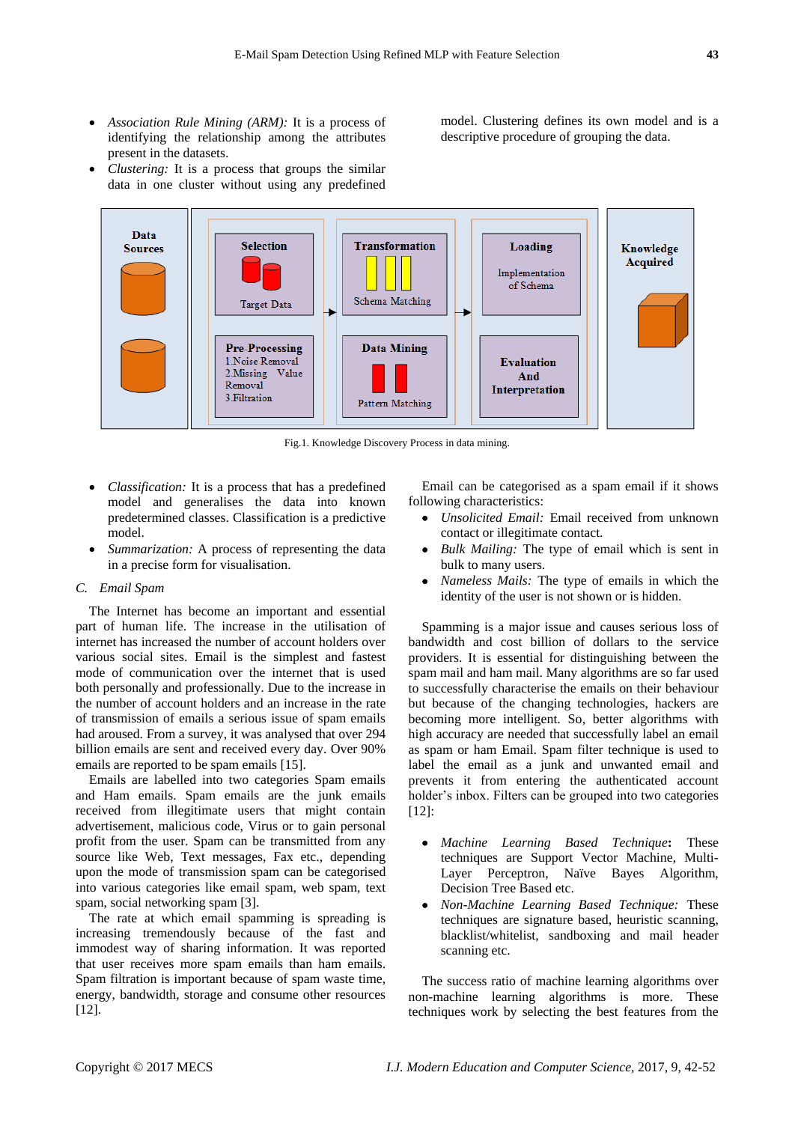*Association Rule Mining (ARM):* It is a process of identifying the relationship among the attributes present in the datasets.

model. Clustering defines its own model and is a descriptive procedure of grouping the data.

 *Clustering:* It is a process that groups the similar data in one cluster without using any predefined



Fig.1. Knowledge Discovery Process in data mining.

- *Classification:* It is a process that has a predefined model and generalises the data into known predetermined classes. Classification is a predictive model.
- *Summarization:* A process of representing the data in a precise form for visualisation.

## *C. Email Spam*

The Internet has become an important and essential part of human life. The increase in the utilisation of internet has increased the number of account holders over various social sites. Email is the simplest and fastest mode of communication over the internet that is used both personally and professionally. Due to the increase in the number of account holders and an increase in the rate of transmission of emails a serious issue of spam emails had aroused. From a survey, it was analysed that over 294 billion emails are sent and received every day. Over 90% emails are reported to be spam emails [15].

Emails are labelled into two categories Spam emails and Ham emails. Spam emails are the junk emails received from illegitimate users that might contain advertisement, malicious code, Virus or to gain personal profit from the user. Spam can be transmitted from any source like Web, Text messages, Fax etc., depending upon the mode of transmission spam can be categorised into various categories like email spam, web spam, text spam, social networking spam [3].

The rate at which email spamming is spreading is increasing tremendously because of the fast and immodest way of sharing information. It was reported that user receives more spam emails than ham emails. Spam filtration is important because of spam waste time, energy, bandwidth, storage and consume other resources [12].

Email can be categorised as a spam email if it shows following characteristics:

- *Unsolicited Email:* Email received from unknown contact or illegitimate contact.
- *Bulk Mailing:* The type of email which is sent in bulk to many users.
- *Nameless Mails:* The type of emails in which the identity of the user is not shown or is hidden.

Spamming is a major issue and causes serious loss of bandwidth and cost billion of dollars to the service providers. It is essential for distinguishing between the spam mail and ham mail. Many algorithms are so far used to successfully characterise the emails on their behaviour but because of the changing technologies, hackers are becoming more intelligent. So, better algorithms with high accuracy are needed that successfully label an email as spam or ham Email. Spam filter technique is used to label the email as a junk and unwanted email and prevents it from entering the authenticated account holder's inbox. Filters can be grouped into two categories [12]:

- *Machine Learning Based Technique***:** These techniques are Support Vector Machine, Multi-Layer Perceptron, Na ve Bayes Algorithm, Decision Tree Based etc.
- *Non-Machine Learning Based Technique:* These techniques are signature based, heuristic scanning, blacklist/whitelist, sandboxing and mail header scanning etc.

The success ratio of machine learning algorithms over non-machine learning algorithms is more. These techniques work by selecting the best features from the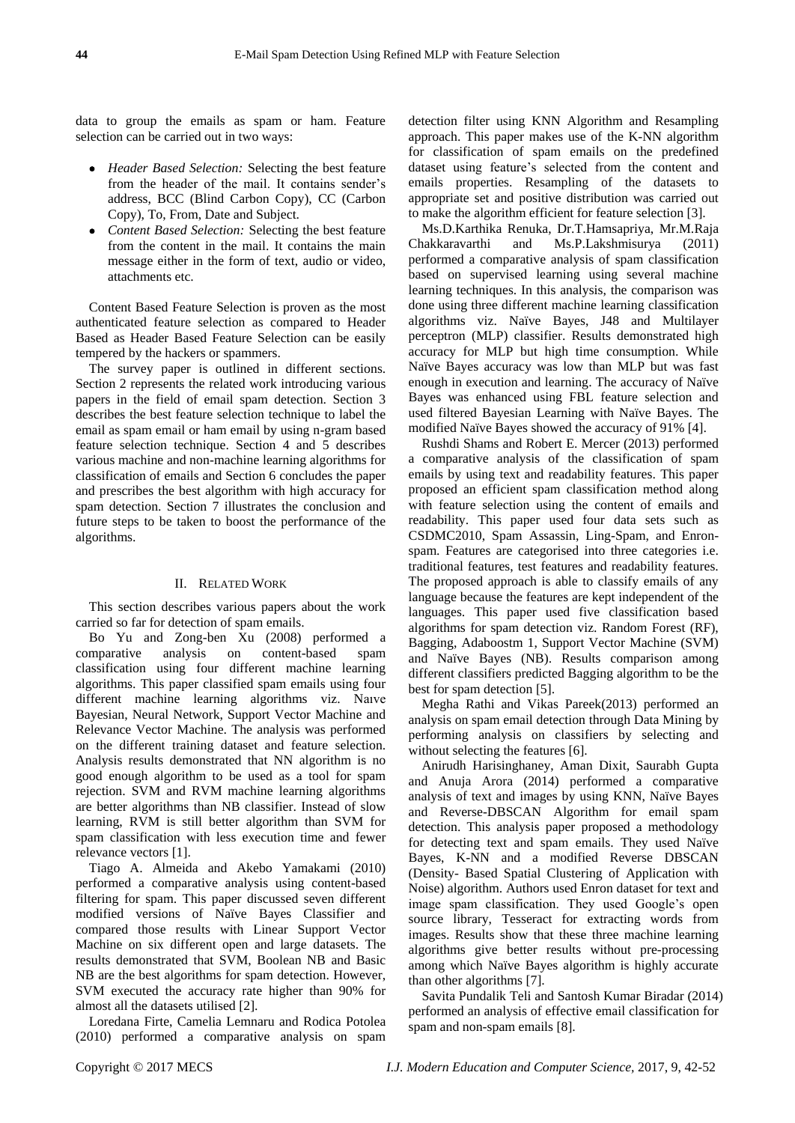data to group the emails as spam or ham. Feature selection can be carried out in two ways:

- *Header Based Selection:* Selecting the best feature from the header of the mail. It contains sender's address, BCC (Blind Carbon Copy), CC (Carbon Copy), To, From, Date and Subject.
- *Content Based Selection:* Selecting the best feature from the content in the mail. It contains the main message either in the form of text, audio or video, attachments etc.

Content Based Feature Selection is proven as the most authenticated feature selection as compared to Header Based as Header Based Feature Selection can be easily tempered by the hackers or spammers.

The survey paper is outlined in different sections. Section 2 represents the related work introducing various papers in the field of email spam detection. Section 3 describes the best feature selection technique to label the email as spam email or ham email by using n-gram based feature selection technique. Section 4 and 5 describes various machine and non-machine learning algorithms for classification of emails and Section 6 concludes the paper and prescribes the best algorithm with high accuracy for spam detection. Section 7 illustrates the conclusion and future steps to be taken to boost the performance of the algorithms.

#### II. RELATED WORK

This section describes various papers about the work carried so far for detection of spam emails.

Bo Yu and Zong-ben Xu (2008) performed a comparative analysis on content-based spam classification using four different machine learning algorithms. This paper classified spam emails using four different machine learning algorithms viz. Naıve Bayesian, Neural Network, Support Vector Machine and Relevance Vector Machine. The analysis was performed on the different training dataset and feature selection. Analysis results demonstrated that NN algorithm is no good enough algorithm to be used as a tool for spam rejection. SVM and RVM machine learning algorithms are better algorithms than NB classifier. Instead of slow learning, RVM is still better algorithm than SVM for spam classification with less execution time and fewer relevance vectors [1].

Tiago A. Almeida and Akebo Yamakami (2010) performed a comparative analysis using content-based filtering for spam. This paper discussed seven different modified versions of Naïve Bayes Classifier and compared those results with Linear Support Vector Machine on six different open and large datasets. The results demonstrated that SVM, Boolean NB and Basic NB are the best algorithms for spam detection. However, SVM executed the accuracy rate higher than 90% for almost all the datasets utilised [2].

Loredana Firte, Camelia Lemnaru and Rodica Potolea (2010) performed a comparative analysis on spam

detection filter using KNN Algorithm and Resampling approach. This paper makes use of the K-NN algorithm for classification of spam emails on the predefined dataset using feature's selected from the content and emails properties. Resampling of the datasets to appropriate set and positive distribution was carried out to make the algorithm efficient for feature selection [3].

Ms.D.Karthika Renuka, Dr.T.Hamsapriya, Mr.M.Raja Chakkaravarthi and Ms.P.Lakshmisurya (2011) performed a comparative analysis of spam classification based on supervised learning using several machine learning techniques. In this analysis, the comparison was done using three different machine learning classification algorithms viz. Naïve Bayes, J48 and Multilayer perceptron (MLP) classifier. Results demonstrated high accuracy for MLP but high time consumption. While Naïve Bayes accuracy was low than MLP but was fast enough in execution and learning. The accuracy of Na  $\mathbf{\ddot{v}}$ e Bayes was enhanced using FBL feature selection and used filtered Bayesian Learning with Na  $\ddot{v}$ e Bayes. The modified Na *ive* Bayes showed the accuracy of 91% [4].

Rushdi Shams and Robert E. Mercer (2013) performed a comparative analysis of the classification of spam emails by using text and readability features. This paper proposed an efficient spam classification method along with feature selection using the content of emails and readability. This paper used four data sets such as CSDMC2010, Spam Assassin, Ling-Spam, and Enronspam. Features are categorised into three categories i.e. traditional features, test features and readability features. The proposed approach is able to classify emails of any language because the features are kept independent of the languages. This paper used five classification based algorithms for spam detection viz. Random Forest (RF), Bagging, Adaboostm 1, Support Vector Machine (SVM) and Naïve Bayes (NB). Results comparison among different classifiers predicted Bagging algorithm to be the best for spam detection [5].

Megha Rathi and Vikas Pareek(2013) performed an analysis on spam email detection through Data Mining by performing analysis on classifiers by selecting and without selecting the features [6].

Anirudh Harisinghaney, Aman Dixit, Saurabh Gupta and Anuja Arora (2014) performed a comparative analysis of text and images by using KNN, Na we Bayes and Reverse-DBSCAN Algorithm for email spam detection. This analysis paper proposed a methodology for detecting text and spam emails. They used Naïve Bayes, K-NN and a modified Reverse DBSCAN (Density- Based Spatial Clustering of Application with Noise) algorithm. Authors used Enron dataset for text and image spam classification. They used Google's open source library, Tesseract for extracting words from images. Results show that these three machine learning algorithms give better results without pre-processing among which Naïve Bayes algorithm is highly accurate than other algorithms [7].

Savita Pundalik Teli and Santosh Kumar Biradar (2014) performed an analysis of effective email classification for spam and non-spam emails [8].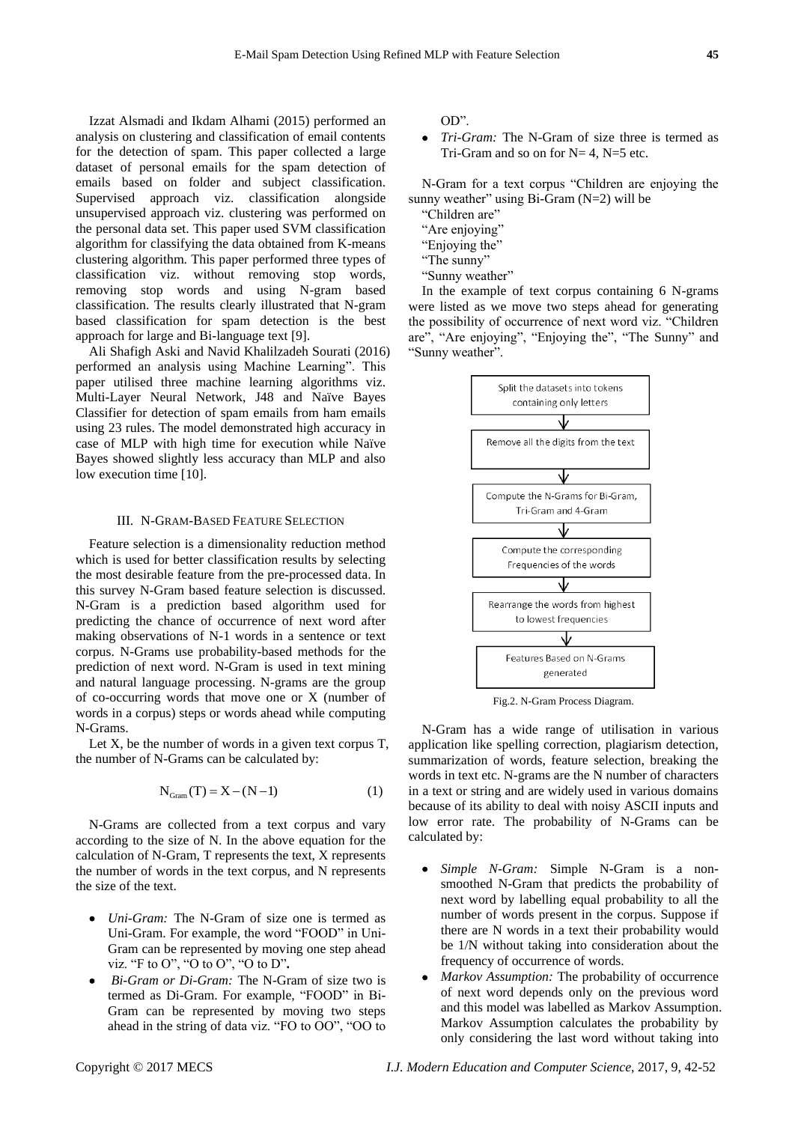Izzat Alsmadi and Ikdam Alhami (2015) performed an analysis on clustering and classification of email contents for the detection of spam. This paper collected a large dataset of personal emails for the spam detection of emails based on folder and subject classification. Supervised approach viz. classification alongside unsupervised approach viz. clustering was performed on the personal data set. This paper used SVM classification algorithm for classifying the data obtained from K-means clustering algorithm. This paper performed three types of classification viz. without removing stop words, removing stop words and using N-gram based classification. The results clearly illustrated that N-gram based classification for spam detection is the best approach for large and Bi-language text [9].

Ali Shafigh Aski and Navid Khalilzadeh Sourati (2016) performed an analysis using Machine Learning". This paper utilised three machine learning algorithms viz. Multi-Layer Neural Network, J48 and Naïve Bayes Classifier for detection of spam emails from ham emails using 23 rules. The model demonstrated high accuracy in case of MLP with high time for execution while Naïve Bayes showed slightly less accuracy than MLP and also low execution time [10].

## III. N-GRAM-BASED FEATURE SELECTION

Feature selection is a dimensionality reduction method which is used for better classification results by selecting the most desirable feature from the pre-processed data. In this survey N-Gram based feature selection is discussed. N-Gram is a prediction based algorithm used for predicting the chance of occurrence of next word after making observations of N-1 words in a sentence or text corpus. N-Grams use probability-based methods for the prediction of next word. N-Gram is used in text mining and natural language processing. N-grams are the group of co-occurring words that move one or X (number of words in a corpus) steps or words ahead while computing N-Grams.

Let  $X$ , be the number of words in a given text corpus  $T$ , the number of N-Grams can be calculated by:

$$
N_{Gram}(T) = X - (N - 1)
$$
 (1)

N-Grams are collected from a text corpus and vary according to the size of N. In the above equation for the calculation of N-Gram, T represents the text, X represents the number of words in the text corpus, and N represents the size of the text.

- *Uni-Gram:* The N-Gram of size one is termed as Uni-Gram. For example, the word "FOOD" in Uni-Gram can be represented by moving one step ahead viz. "F to O", "O to O", "O to D"**.**
- *Bi-Gram or Di-Gram:* The N-Gram of size two is termed as Di-Gram. For example, "FOOD" in Bi-Gram can be represented by moving two steps ahead in the string of data viz. "FO to OO", "OO to

OD".

 *Tri-Gram:* The N-Gram of size three is termed as Tri-Gram and so on for  $N=4$ ,  $N=5$  etc.

N-Gram for a text corpus "Children are enjoying the sunny weather" using  $Bi-Gram(N=2)$  will be

"Children are"

- "Are enjoying"
- "Enjoying the"
- "The sunny"
- "Sunny weather"

In the example of text corpus containing 6 N-grams were listed as we move two steps ahead for generating the possibility of occurrence of next word viz. "Children are", "Are enjoying", "Enjoying the", "The Sunny" and "Sunny weather".



Fig.2. N-Gram Process Diagram.

N-Gram has a wide range of utilisation in various application like spelling correction, plagiarism detection, summarization of words, feature selection, breaking the words in text etc. N-grams are the N number of characters in a text or string and are widely used in various domains because of its ability to deal with noisy ASCII inputs and low error rate. The probability of N-Grams can be calculated by:

- *Simple N-Gram:* Simple N-Gram is a nonsmoothed N-Gram that predicts the probability of next word by labelling equal probability to all the number of words present in the corpus. Suppose if there are N words in a text their probability would be 1/N without taking into consideration about the frequency of occurrence of words.
- *Markov Assumption:* The probability of occurrence of next word depends only on the previous word and this model was labelled as Markov Assumption. Markov Assumption calculates the probability by only considering the last word without taking into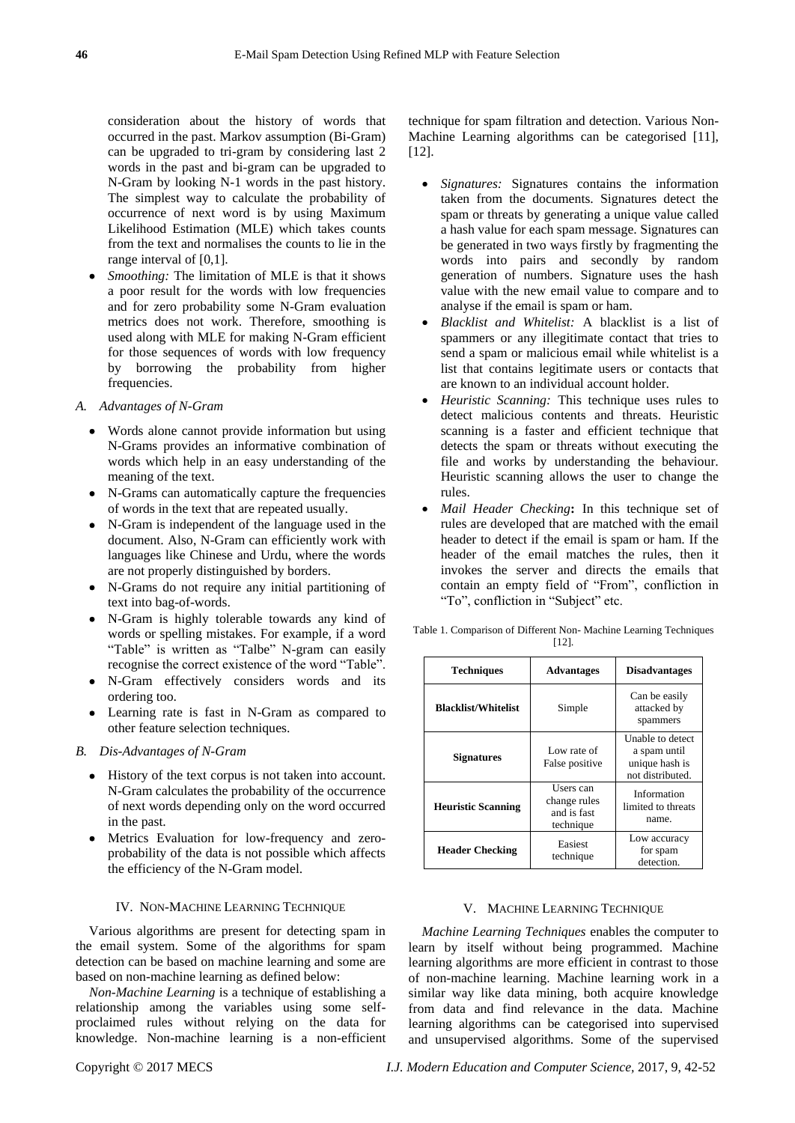consideration about the history of words that occurred in the past. Markov assumption (Bi-Gram) can be upgraded to tri-gram by considering last 2 words in the past and bi-gram can be upgraded to N-Gram by looking N-1 words in the past history. The simplest way to calculate the probability of occurrence of next word is by using Maximum Likelihood Estimation (MLE) which takes counts from the text and normalises the counts to lie in the range interval of [0,1].

- *Smoothing:* The limitation of MLE is that it shows a poor result for the words with low frequencies and for zero probability some N-Gram evaluation metrics does not work. Therefore, smoothing is used along with MLE for making N-Gram efficient for those sequences of words with low frequency by borrowing the probability from higher frequencies.
- *A. Advantages of N-Gram*
	- Words alone cannot provide information but using N-Grams provides an informative combination of words which help in an easy understanding of the meaning of the text.
	- N-Grams can automatically capture the frequencies of words in the text that are repeated usually.
	- N-Gram is independent of the language used in the document. Also, N-Gram can efficiently work with languages like Chinese and Urdu, where the words are not properly distinguished by borders.
	- N-Grams do not require any initial partitioning of text into bag-of-words.
	- N-Gram is highly tolerable towards any kind of words or spelling mistakes. For example, if a word "Table" is written as "Talbe" N-gram can easily recognise the correct existence of the word "Table".
	- N-Gram effectively considers words and its ordering too.
	- Learning rate is fast in N-Gram as compared to other feature selection techniques.

## *B. Dis-Advantages of N-Gram*

- History of the text corpus is not taken into account. N-Gram calculates the probability of the occurrence of next words depending only on the word occurred in the past.
- Metrics Evaluation for low-frequency and zeroprobability of the data is not possible which affects the efficiency of the N-Gram model.

#### IV. NON-MACHINE LEARNING TECHNIQUE

Various algorithms are present for detecting spam in the email system. Some of the algorithms for spam detection can be based on machine learning and some are based on non-machine learning as defined below:

*Non-Machine Learning* is a technique of establishing a relationship among the variables using some selfproclaimed rules without relying on the data for knowledge. Non-machine learning is a non-efficient

- *Signatures:* Signatures contains the information taken from the documents. Signatures detect the spam or threats by generating a unique value called a hash value for each spam message. Signatures can be generated in two ways firstly by fragmenting the words into pairs and secondly by random generation of numbers. Signature uses the hash value with the new email value to compare and to analyse if the email is spam or ham.
- *Blacklist and Whitelist:* A blacklist is a list of spammers or any illegitimate contact that tries to send a spam or malicious email while whitelist is a list that contains legitimate users or contacts that are known to an individual account holder.
- *Heuristic Scanning:* This technique uses rules to detect malicious contents and threats. Heuristic scanning is a faster and efficient technique that detects the spam or threats without executing the file and works by understanding the behaviour. Heuristic scanning allows the user to change the rules.
- *Mail Header Checking***:** In this technique set of rules are developed that are matched with the email header to detect if the email is spam or ham. If the header of the email matches the rules, then it invokes the server and directs the emails that contain an empty field of "From", confliction in "To", confliction in "Subject" etc.

Table 1. Comparison of Different Non- Machine Learning Techniques [12].

| <b>Techniques</b>          | <b>Advantages</b>                                     | <b>Disadvantages</b>                                                   |  |
|----------------------------|-------------------------------------------------------|------------------------------------------------------------------------|--|
| <b>Blacklist/Whitelist</b> | Simple                                                | Can be easily<br>attacked by<br>spammers                               |  |
| <b>Signatures</b>          | Low rate of<br>False positive                         | Unable to detect<br>a spam until<br>unique hash is<br>not distributed. |  |
| <b>Heuristic Scanning</b>  | Users can<br>change rules<br>and is fast<br>technique | Information<br>limited to threats<br>name.                             |  |
| <b>Header Checking</b>     | Easiest<br>technique                                  | Low accuracy<br>for spam<br>detection.                                 |  |

#### V. MACHINE LEARNING TECHNIQUE

*Machine Learning Techniques* enables the computer to learn by itself without being programmed. Machine learning algorithms are more efficient in contrast to those of non-machine learning. Machine learning work in a similar way like data mining, both acquire knowledge from data and find relevance in the data. Machine learning algorithms can be categorised into supervised and unsupervised algorithms. Some of the supervised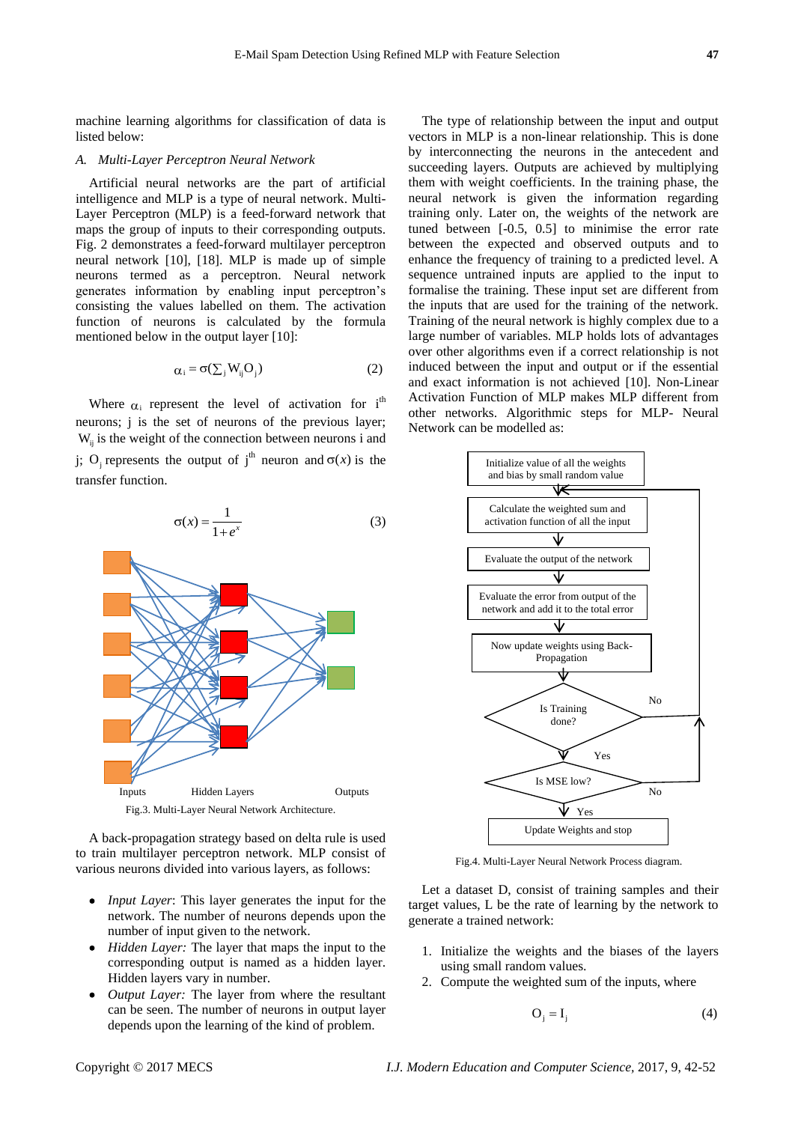machine learning algorithms for classification of data is listed below:

#### *A. Multi-Layer Perceptron Neural Network*

Artificial neural networks are the part of artificial intelligence and MLP is a type of neural network. Multi-Layer Perceptron (MLP) is a feed-forward network that maps the group of inputs to their corresponding outputs. Fig. 2 demonstrates a feed-forward multilayer perceptron neural network [10], [18]. MLP is made up of simple neurons termed as a perceptron. Neural network generates information by enabling input perceptron's consisting the values labelled on them. The activation function of neurons is calculated by the formula mentioned below in the output layer [10]:

$$
\alpha_i = \sigma(\sum_j W_{ij} O_j)
$$
 (2)

Where  $\alpha_i$  represent the level of activation for i<sup>th</sup> neurons; j is the set of neurons of the previous layer;  $W_{ij}$  is the weight of the connection between neurons i and j; O<sub>j</sub> represents the output of j<sup>th</sup> neuron and  $\sigma(x)$  is the transfer function.



Fig.3. Multi-Layer Neural Network Architecture.

A back-propagation strategy based on delta rule is used to train multilayer perceptron network. MLP consist of various neurons divided into various layers, as follows:

- *Input Layer*: This layer generates the input for the network. The number of neurons depends upon the number of input given to the network.
- *Hidden Layer:* The layer that maps the input to the corresponding output is named as a hidden layer. Hidden layers vary in number.
- *Output Layer:* The layer from where the resultant can be seen. The number of neurons in output layer depends upon the learning of the kind of problem.

The type of relationship between the input and output vectors in MLP is a non-linear relationship. This is done by interconnecting the neurons in the antecedent and succeeding layers. Outputs are achieved by multiplying them with weight coefficients. In the training phase, the neural network is given the information regarding training only. Later on, the weights of the network are tuned between [-0.5, 0.5] to minimise the error rate between the expected and observed outputs and to enhance the frequency of training to a predicted level. A sequence untrained inputs are applied to the input to formalise the training. These input set are different from the inputs that are used for the training of the network. Training of the neural network is highly complex due to a large number of variables. MLP holds lots of advantages over other algorithms even if a correct relationship is not induced between the input and output or if the essential and exact information is not achieved [10]. Non-Linear Activation Function of MLP makes MLP different from other networks. Algorithmic steps for MLP- Neural Network can be modelled as:



Fig.4. Multi-Layer Neural Network Process diagram.

Let a dataset D, consist of training samples and their target values, L be the rate of learning by the network to generate a trained network:

- 1. Initialize the weights and the biases of the layers using small random values.
- 2. Compute the weighted sum of the inputs, where

$$
O_i = I_i \tag{4}
$$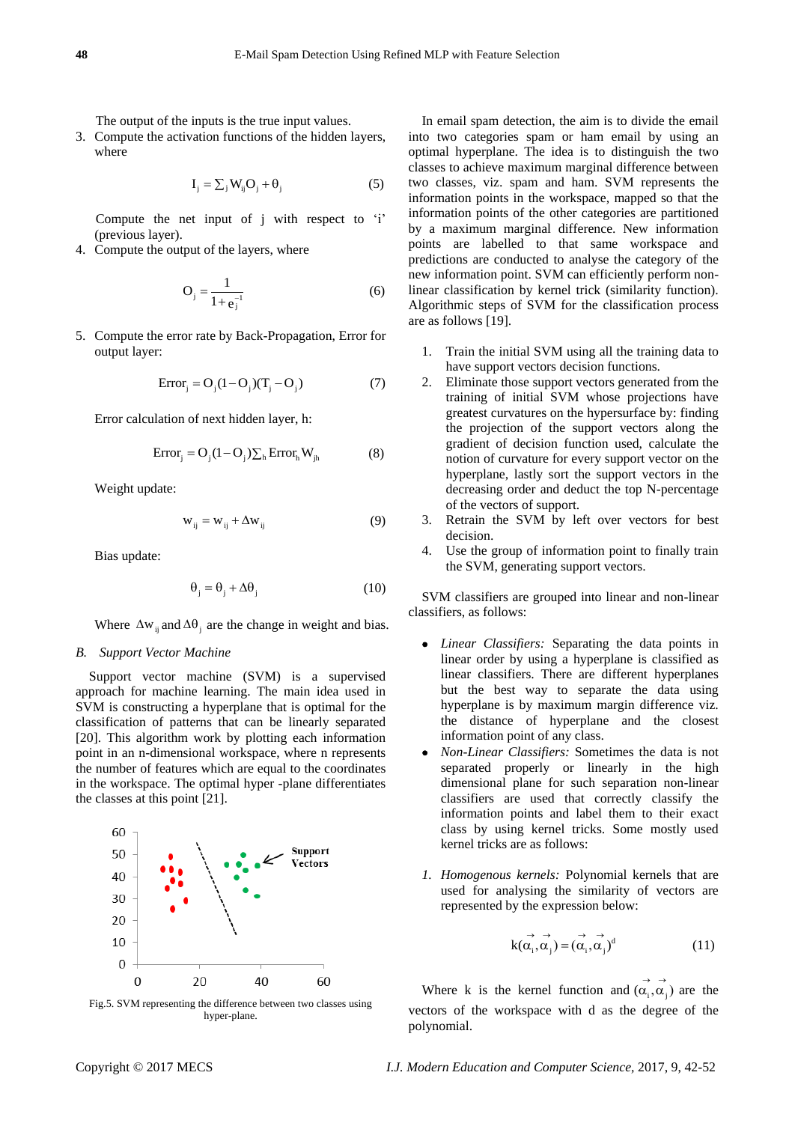The output of the inputs is the true input values.

3. Compute the activation functions of the hidden layers, where

$$
\mathbf{I}_{j} = \sum_{j} \mathbf{W}_{ij} \mathbf{O}_{j} + \mathbf{\theta}_{j} \tag{5}
$$

 Compute the net input of j with respect to 'i' (previous layer).

4. Compute the output of the layers, where

$$
O_j = \frac{1}{1 + e_j^{-1}}
$$
 (6)

5. Compute the error rate by Back-Propagation, Error for output layer:

$$
Error_j = O_j(1 - O_j)(T_j - O_j)
$$
 (7)

Error calculation of next hidden layer, h:

$$
Error_{j} = O_{j}(1 - O_{j})\sum_{h} Error_{h}W_{jh}
$$
 (8)

Weight update:

$$
w_{ij} = w_{ij} + \Delta w_{ij} \tag{9}
$$

Bias update:

$$
\Theta_{j} = \Theta_{j} + \Delta\Theta_{j} \tag{10}
$$

Where  $\Delta w_{ij}$  and  $\Delta \theta_j$  are the change in weight and bias.

#### *B. Support Vector Machine*

Support vector machine (SVM) is a supervised approach for machine learning. The main idea used in SVM is constructing a hyperplane that is optimal for the classification of patterns that can be linearly separated [20]. This algorithm work by plotting each information point in an n-dimensional workspace, where n represents the number of features which are equal to the coordinates in the workspace. The optimal hyper -plane differentiates the classes at this point [21].





In email spam detection, the aim is to divide the email into two categories spam or ham email by using an optimal hyperplane. The idea is to distinguish the two classes to achieve maximum marginal difference between two classes, viz. spam and ham. SVM represents the information points in the workspace, mapped so that the information points of the other categories are partitioned by a maximum marginal difference. New information points are labelled to that same workspace and predictions are conducted to analyse the category of the new information point. SVM can efficiently perform nonlinear classification by kernel trick (similarity function). Algorithmic steps of SVM for the classification process are as follows [19].

- 1. Train the initial SVM using all the training data to have support vectors decision functions.
- 2. Eliminate those support vectors generated from the training of initial SVM whose projections have greatest curvatures on the hypersurface by: finding the projection of the support vectors along the gradient of decision function used, calculate the notion of curvature for every support vector on the hyperplane, lastly sort the support vectors in the decreasing order and deduct the top N-percentage of the vectors of support.
- 3. Retrain the SVM by left over vectors for best decision.
- 4. Use the group of information point to finally train the SVM, generating support vectors.

SVM classifiers are grouped into linear and non-linear classifiers, as follows:

- *Linear Classifiers:* Separating the data points in linear order by using a hyperplane is classified as linear classifiers. There are different hyperplanes but the best way to separate the data using hyperplane is by maximum margin difference viz. the distance of hyperplane and the closest information point of any class.
- *Non-Linear Classifiers:* Sometimes the data is not separated properly or linearly in the high dimensional plane for such separation non-linear classifiers are used that correctly classify the information points and label them to their exact class by using kernel tricks. Some mostly used kernel tricks are as follows:
- *1. Homogenous kernels:* Polynomial kernels that are used for analysing the similarity of vectors are represented by the expression below:

$$
\overrightarrow{k(\alpha_i, \alpha_j)} = (\overrightarrow{\alpha_i, \alpha_j})^d
$$
 (11)

Where k is the kernel function and  $(\alpha_i, \alpha_j)$  are the  $\rightarrow$   $\rightarrow$ vectors of the workspace with d as the degree of the polynomial.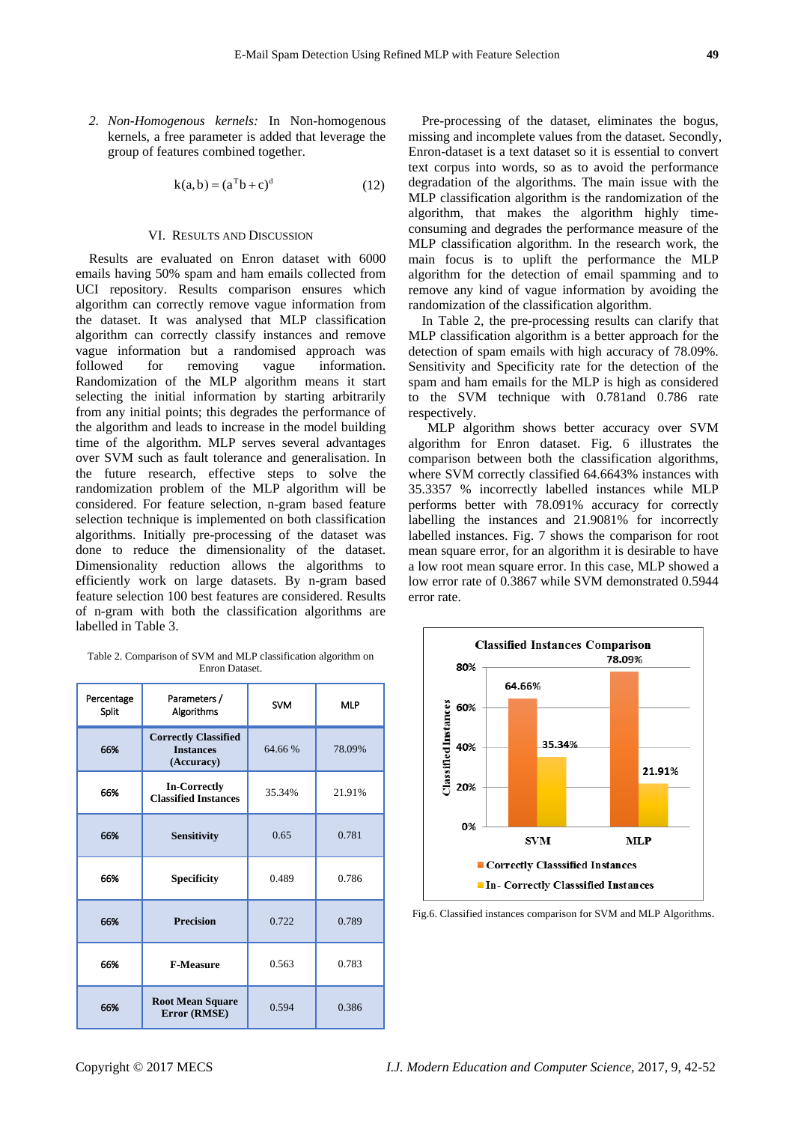*2. Non-Homogenous kernels:* In Non-homogenous kernels, a free parameter is added that leverage the group of features combined together.

$$
k(a, b) = (aTb + c)d
$$
 (12)

#### VI. RESULTS AND DISCUSSION

Results are evaluated on Enron dataset with 6000 emails having 50% spam and ham emails collected from UCI repository. Results comparison ensures which algorithm can correctly remove vague information from the dataset. It was analysed that MLP classification algorithm can correctly classify instances and remove vague information but a randomised approach was<br>followed for removing vague information. for removing vague information. Randomization of the MLP algorithm means it start selecting the initial information by starting arbitrarily from any initial points; this degrades the performance of the algorithm and leads to increase in the model building time of the algorithm. MLP serves several advantages over SVM such as fault tolerance and generalisation. In the future research, effective steps to solve the randomization problem of the MLP algorithm will be considered. For feature selection, n-gram based feature selection technique is implemented on both classification algorithms. Initially pre-processing of the dataset was done to reduce the dimensionality of the dataset. Dimensionality reduction allows the algorithms to efficiently work on large datasets. By n-gram based feature selection 100 best features are considered. Results of n-gram with both the classification algorithms are labelled in Table 3.

Table 2. Comparison of SVM and MLP classification algorithm on Enron Dataset.

| Percentage<br>Split | Parameters /<br>Algorithms                                    | <b>SVM</b> | <b>MLP</b> |  |
|---------------------|---------------------------------------------------------------|------------|------------|--|
| 66%                 | <b>Correctly Classified</b><br><b>Instances</b><br>(Accuracy) | 64.66 %    | 78.09%     |  |
| 66%                 | <b>In-Correctly</b><br><b>Classified Instances</b>            | 35.34%     | 21.91%     |  |
| 66%                 | <b>Sensitivity</b>                                            | 0.65       | 0.781      |  |
| 66%                 | <b>Specificity</b>                                            | 0.489      | 0.786      |  |
| 66%                 | <b>Precision</b>                                              | 0.722      | 0.789      |  |
| 66%                 | <b>F-Measure</b>                                              | 0.563      | 0.783      |  |
| 66%                 | <b>Root Mean Square</b><br>Error (RMSE)                       | 0.594      | 0.386      |  |

Pre-processing of the dataset, eliminates the bogus, missing and incomplete values from the dataset. Secondly, Enron-dataset is a text dataset so it is essential to convert text corpus into words, so as to avoid the performance degradation of the algorithms. The main issue with the MLP classification algorithm is the randomization of the algorithm, that makes the algorithm highly timeconsuming and degrades the performance measure of the MLP classification algorithm. In the research work, the main focus is to uplift the performance the MLP algorithm for the detection of email spamming and to remove any kind of vague information by avoiding the randomization of the classification algorithm.

In Table 2, the pre-processing results can clarify that MLP classification algorithm is a better approach for the detection of spam emails with high accuracy of 78.09%. Sensitivity and Specificity rate for the detection of the spam and ham emails for the MLP is high as considered to the SVM technique with 0.781and 0.786 rate respectively.

MLP algorithm shows better accuracy over SVM algorithm for Enron dataset. Fig. 6 illustrates the comparison between both the classification algorithms, where SVM correctly classified 64.6643% instances with 35.3357 % incorrectly labelled instances while MLP performs better with 78.091% accuracy for correctly labelling the instances and 21.9081% for incorrectly labelled instances. Fig. 7 shows the comparison for root mean square error, for an algorithm it is desirable to have a low root mean square error. In this case, MLP showed a low error rate of 0.3867 while SVM demonstrated 0.5944 error rate.



Fig.6. Classified instances comparison for SVM and MLP Algorithms.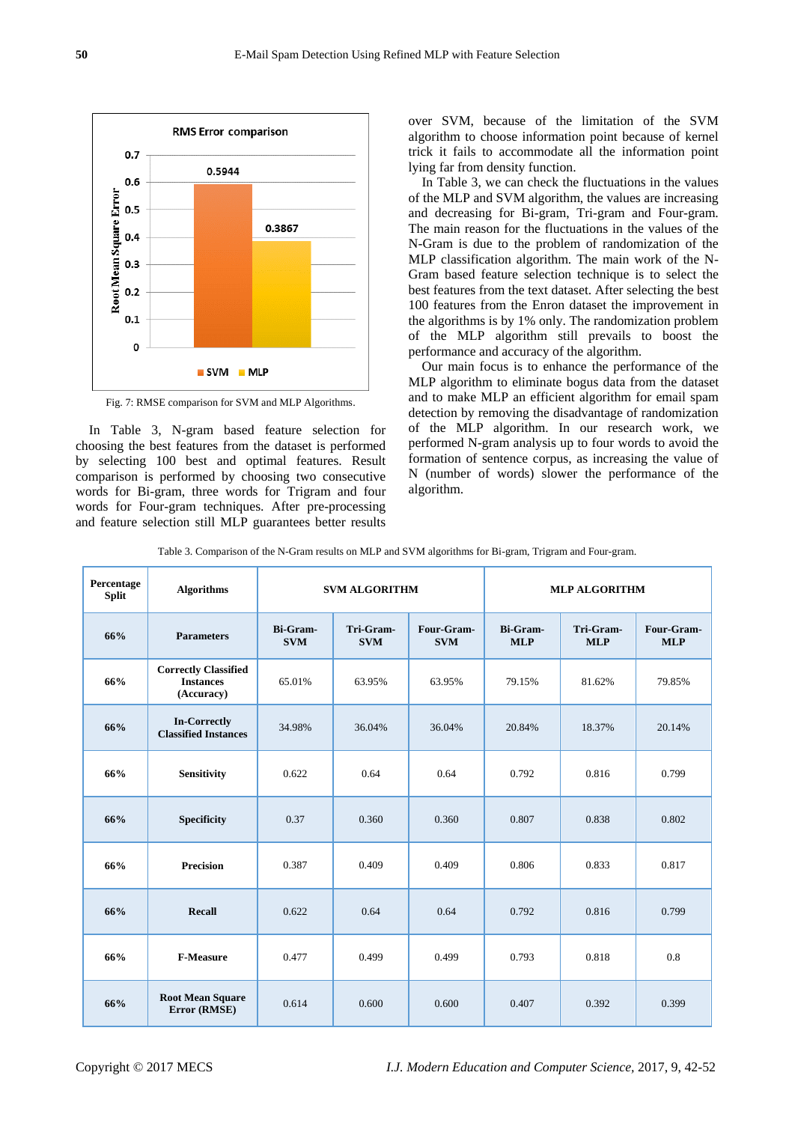

Fig. 7: RMSE comparison for SVM and MLP Algorithms.

In Table 3, N-gram based feature selection for choosing the best features from the dataset is performed by selecting 100 best and optimal features. Result comparison is performed by choosing two consecutive words for Bi-gram, three words for Trigram and four words for Four-gram techniques. After pre-processing and feature selection still MLP guarantees better results

over SVM, because of the limitation of the SVM algorithm to choose information point because of kernel trick it fails to accommodate all the information point lying far from density function.

In Table 3, we can check the fluctuations in the values of the MLP and SVM algorithm, the values are increasing and decreasing for Bi-gram, Tri-gram and Four-gram. The main reason for the fluctuations in the values of the N-Gram is due to the problem of randomization of the MLP classification algorithm. The main work of the N-Gram based feature selection technique is to select the best features from the text dataset. After selecting the best 100 features from the Enron dataset the improvement in the algorithms is by 1% only. The randomization problem of the MLP algorithm still prevails to boost the performance and accuracy of the algorithm.

Our main focus is to enhance the performance of the MLP algorithm to eliminate bogus data from the dataset and to make MLP an efficient algorithm for email spam detection by removing the disadvantage of randomization of the MLP algorithm. In our research work, we performed N-gram analysis up to four words to avoid the formation of sentence corpus, as increasing the value of N (number of words) slower the performance of the algorithm.

|  | Table 3. Comparison of the N-Gram results on MLP and SVM algorithms for Bi-gram, Trigram and Four-gram. |  |  |  |
|--|---------------------------------------------------------------------------------------------------------|--|--|--|
|  |                                                                                                         |  |  |  |

| Percentage<br><b>Split</b> | <b>Algorithms</b>                                             | <b>SVM ALGORITHM</b>          |                         | <b>MLP ALGORITHM</b>     |                        |                         |                          |
|----------------------------|---------------------------------------------------------------|-------------------------------|-------------------------|--------------------------|------------------------|-------------------------|--------------------------|
| 66%                        | <b>Parameters</b>                                             | <b>Bi-Gram-</b><br><b>SVM</b> | Tri-Gram-<br><b>SVM</b> | Four-Gram-<br><b>SVM</b> | Bi-Gram-<br><b>MLP</b> | Tri-Gram-<br><b>MLP</b> | Four-Gram-<br><b>MLP</b> |
| 66%                        | <b>Correctly Classified</b><br><b>Instances</b><br>(Accuracy) | 65.01%                        | 63.95%                  | 63.95%                   | 79.15%                 | 81.62%                  | 79.85%                   |
| 66%                        | <b>In-Correctly</b><br><b>Classified Instances</b>            | 34.98%                        | 36.04%                  | 36.04%                   | 20.84%                 | 18.37%                  | 20.14%                   |
| 66%                        | Sensitivity                                                   | 0.622                         | 0.64                    | 0.64                     | 0.792                  | 0.816                   | 0.799                    |
| 66%                        | Specificity                                                   | 0.37                          | 0.360                   | 0.360                    | 0.807                  | 0.838                   | 0.802                    |
| 66%                        | <b>Precision</b>                                              | 0.387                         | 0.409                   | 0.409                    | 0.806                  | 0.833                   | 0.817                    |
| 66%                        | Recall                                                        | 0.622                         | 0.64                    | 0.64                     | 0.792                  | 0.816                   | 0.799                    |
| 66%                        | <b>F-Measure</b>                                              | 0.477                         | 0.499                   | 0.499                    | 0.793                  | 0.818                   | 0.8                      |
| 66%                        | <b>Root Mean Square</b><br>Error (RMSE)                       | 0.614                         | 0.600                   | 0.600                    | 0.407                  | 0.392                   | 0.399                    |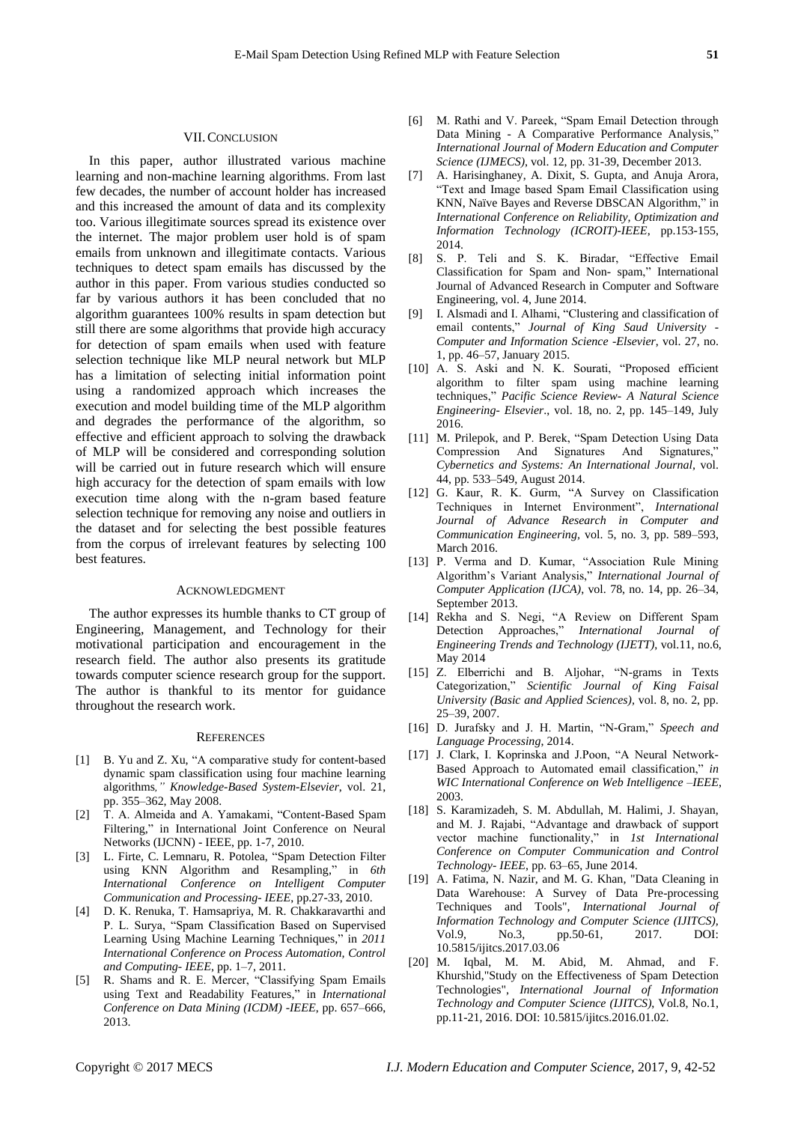### VII.CONCLUSION

In this paper, author illustrated various machine learning and non-machine learning algorithms. From last few decades, the number of account holder has increased and this increased the amount of data and its complexity too. Various illegitimate sources spread its existence over the internet. The major problem user hold is of spam emails from unknown and illegitimate contacts. Various techniques to detect spam emails has discussed by the author in this paper. From various studies conducted so far by various authors it has been concluded that no algorithm guarantees 100% results in spam detection but still there are some algorithms that provide high accuracy for detection of spam emails when used with feature selection technique like MLP neural network but MLP has a limitation of selecting initial information point using a randomized approach which increases the execution and model building time of the MLP algorithm and degrades the performance of the algorithm, so effective and efficient approach to solving the drawback of MLP will be considered and corresponding solution will be carried out in future research which will ensure high accuracy for the detection of spam emails with low execution time along with the n-gram based feature selection technique for removing any noise and outliers in the dataset and for selecting the best possible features from the corpus of irrelevant features by selecting 100 best features.

#### ACKNOWLEDGMENT

The author expresses its humble thanks to CT group of Engineering, Management, and Technology for their motivational participation and encouragement in the research field. The author also presents its gratitude towards computer science research group for the support. The author is thankful to its mentor for guidance throughout the research work.

#### **REFERENCES**

- [1] B. Yu and Z. Xu, "A comparative study for content-based dynamic spam classification using four machine learning algorithms*," Knowledge-Based System-Elsevier*, vol. 21, pp. 355–362, May 2008.
- [2] T. A. Almeida and A. Yamakami, "Content-Based Spam Filtering," in International Joint Conference on Neural Networks (IJCNN) - IEEE, pp. 1-7, 2010.
- [3] L. Firte, C. Lemnaru, R. Potolea, "Spam Detection Filter using KNN Algorithm and Resampling," in *6th International Conference on Intelligent Computer Communication and Processing- IEEE*, pp.27-33, 2010.
- [4] D. K. Renuka, T. Hamsapriya, M. R. Chakkaravarthi and P. L. Surya, "Spam Classification Based on Supervised Learning Using Machine Learning Techniques," in *2011 International Conference on Process Automation, Control and Computing- IEEE*, pp. 1–7, 2011.
- R. Shams and R. E. Mercer, "Classifying Spam Emails using Text and Readability Features," in *International Conference on Data Mining (ICDM) -IEEE*, pp. 657–666, 2013.
- [6] M. Rathi and V. Pareek, "Spam Email Detection through Data Mining - A Comparative Performance Analysis, *International Journal of Modern Education and Computer Science (IJMECS)*, vol. 12, pp. 31-39, December 2013.
- [7] A. Harisinghaney, A. Dixit, S. Gupta, and Anuja Arora, "Text and Image based Spam Email Classification using KNN, Na ïve Bayes and Reverse DBSCAN Algorithm," in *International Conference on Reliability, Optimization and Information Technology (ICROIT)-IEEE*, pp.153-155, 2014.
- [8] S. P. Teli and S. K. Biradar, "Effective Email Classification for Spam and Non- spam," International Journal of Advanced Research in Computer and Software Engineering, vol. 4, June 2014.
- [9] I. Alsmadi and I. Alhami, "Clustering and classification of email contents," *Journal of King Saud University - Computer and Information Science -Elsevier*, vol. 27, no. 1, pp. 46–57, January 2015.
- [10] A. S. Aski and N. K. Sourati, "Proposed efficient algorithm to filter spam using machine learning techniques," *Pacific Science Review- A Natural Science Engineering- Elsevier*., vol. 18, no. 2, pp. 145–149, July 2016.
- [11] M. Prilepok, and P. Berek, "Spam Detection Using Data Compression And Signatures And Signatures," *Cybernetics and Systems: An International Journal,* vol. 44, pp. 533–549, August 2014.
- [12] G. Kaur, R. K. Gurm, "A Survey on Classification Techniques in Internet Environment", *International Journal of Advance Research in Computer and Communication Engineering,* vol. 5, no. 3, pp. 589–593, March 2016.
- [13] P. Verma and D. Kumar, "Association Rule Mining Algorithm's Variant Analysis," *International Journal of Computer Application (IJCA)*, vol. 78, no. 14, pp. 26–34, September 2013.
- [14] Rekha and S. Negi, "A Review on Different Spam Detection Approaches," *International Journal of Engineering Trends and Technology (IJETT)*, vol.11, no.6, May 2014
- [15] Z. Elberrichi and B. Aljohar, "N-grams in Texts Categorization," *Scientific Journal of King Faisal University (Basic and Applied Sciences),* vol. 8, no. 2, pp. 25–39, 2007.
- [16] D. Jurafsky and J. H. Martin, "N-Gram," *Speech and Language Processing*, 2014.
- [17] J. Clark, I. Koprinska and J.Poon, "A Neural Network-Based Approach to Automated email classification," *in WIC International Conference on Web Intelligence –IEEE*, 2003.
- [18] S. Karamizadeh, S. M. Abdullah, M. Halimi, J. Shayan, and M. J. Rajabi, "Advantage and drawback of support vector machine functionality," in *1st International Conference on Computer Communication and Control Technology- IEEE*, pp. 63–65, June 2014.
- [19] A. Fatima, N. Nazir, and M. G. Khan, "Data Cleaning in Data Warehouse: A Survey of Data Pre-processing Techniques and Tools", *International Journal of Information Technology and Computer Science (IJITCS),* Vol.9, No.3, pp.50-61, 2017. DOI: 10.5815/ijitcs.2017.03.06
- [20] M. Iqbal, M. M. Abid, M. Ahmad, and F. Khurshid,"Study on the Effectiveness of Spam Detection Technologies", *International Journal of Information Technology and Computer Science (IJITCS)*, Vol.8, No.1, pp.11-21, 2016. DOI: 10.5815/ijitcs.2016.01.02.